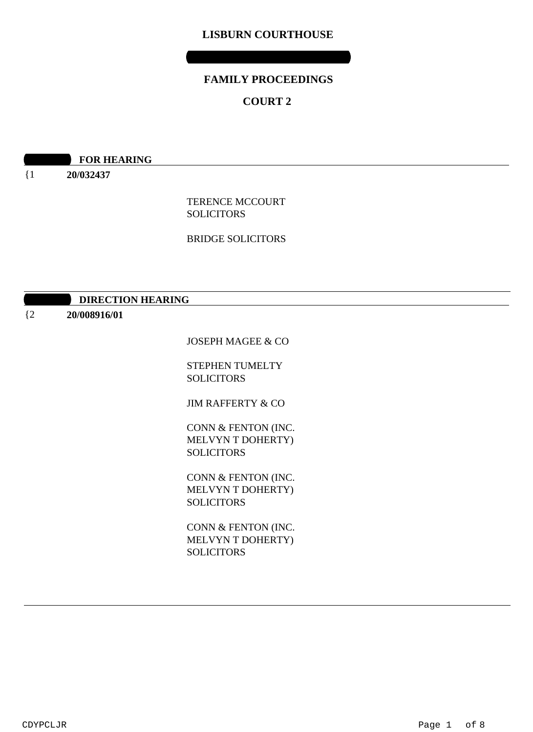# **LISBURN COURTHOUSE**

# **FAMILY PROCEEDINGS**

**WEDNESDAY 05 AUGUST 2020**

# **COURT 2**

**09:00 ROR HEARING** 

{1 **20/032437**

> TERENCE MCCOURT **SOLICITORS**

> BRIDGE SOLICITORS

| <b>DIRECTION HEARING</b> |
|--------------------------|
|--------------------------|

 ${2}$ **20/008916/01**

JOSEPH MAGEE & CO

STEPHEN TUMELTY SOLICITORS

JIM RAFFERTY & CO

CONN & FENTON (INC. MELVYN T DOHERTY) **SOLICITORS** 

CONN & FENTON (INC. MELVYN T DOHERTY) SOLICITORS

CONN & FENTON (INC. MELVYN T DOHERTY) SOLICITORS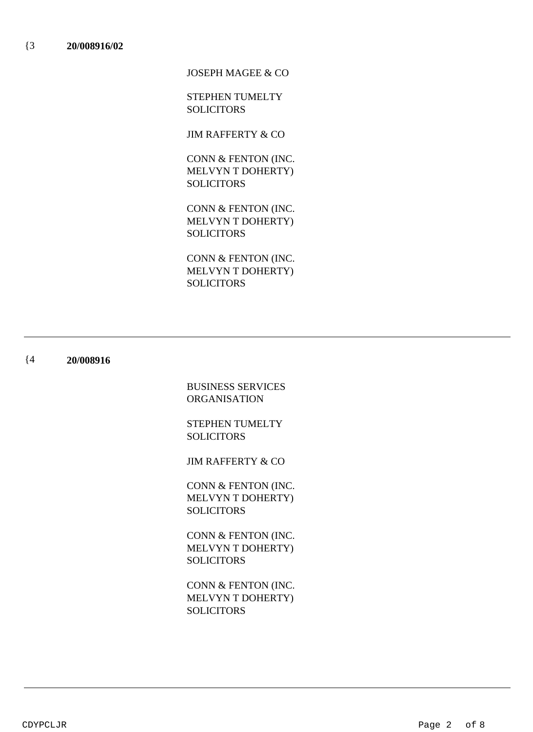JOSEPH MAGEE & CO

STEPHEN TUMELTY SOLICITORS

JIM RAFFERTY & CO

CONN & FENTON (INC. MELVYN T DOHERTY) **SOLICITORS** 

CONN & FENTON (INC. MELVYN T DOHERTY) **SOLICITORS** 

CONN & FENTON (INC. MELVYN T DOHERTY) SOLICITORS

#### {4 **20/008916**

BUSINESS SERVICES ORGANISATION

STEPHEN TUMELTY SOLICITORS

JIM RAFFERTY & CO

CONN & FENTON (INC. MELVYN T DOHERTY) SOLICITORS

CONN & FENTON (INC. MELVYN T DOHERTY) **SOLICITORS** 

CONN & FENTON (INC. MELVYN T DOHERTY) SOLICITORS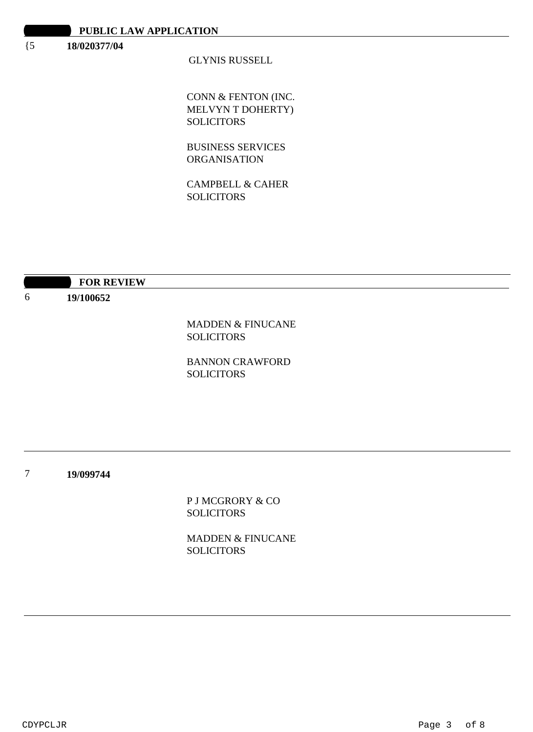### {5 **18/020377/04**

## GLYNIS RUSSELL

CONN & FENTON (INC. MELVYN T DOHERTY) SOLICITORS

BUSINESS SERVICES ORGANISATION

CAMPBELL & CAHER SOLICITORS

|   | <b>FOR REVIEW</b> |                              |
|---|-------------------|------------------------------|
| 6 | 19/100652         |                              |
|   |                   |                              |
|   |                   | <b>MADDEN &amp; FINUCANE</b> |
|   |                   | <b>SOLICITORS</b>            |
|   |                   | <b>BANNON CRAWFORD</b>       |
|   |                   | <b>SOLICITORS</b>            |
|   |                   |                              |
|   |                   |                              |
|   |                   |                              |
|   |                   |                              |
|   |                   |                              |
| 7 | 19/099744         |                              |
|   |                   | P J MCGRORY & CO             |
|   |                   | <b>SOLICITORS</b>            |
|   |                   |                              |

MADDEN & FINUCANE **SOLICITORS**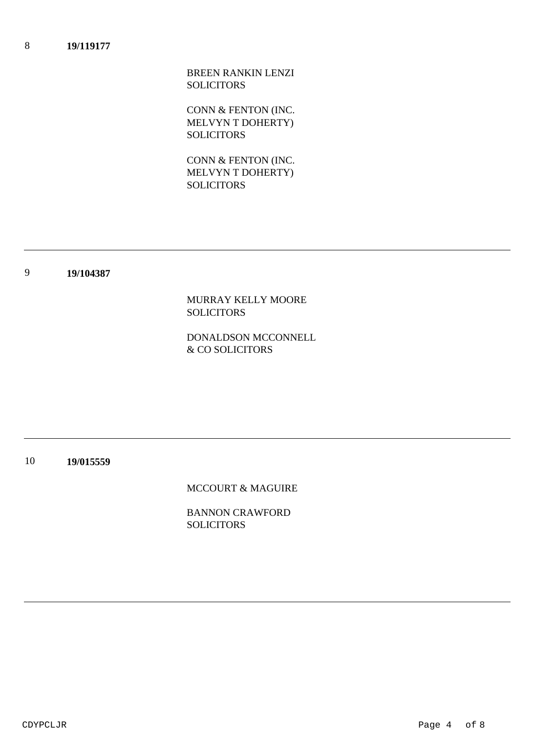BREEN RANKIN LENZI SOLICITORS

CONN & FENTON (INC. MELVYN T DOHERTY) **SOLICITORS** 

CONN & FENTON (INC. MELVYN T DOHERTY) **SOLICITORS** 

#### 9 **19/104387**

MURRAY KELLY MOORE SOLICITORS

DONALDSON MCCONNELL & CO SOLICITORS

10 **19/015559**

MCCOURT & MAGUIRE

BANNON CRAWFORD **SOLICITORS**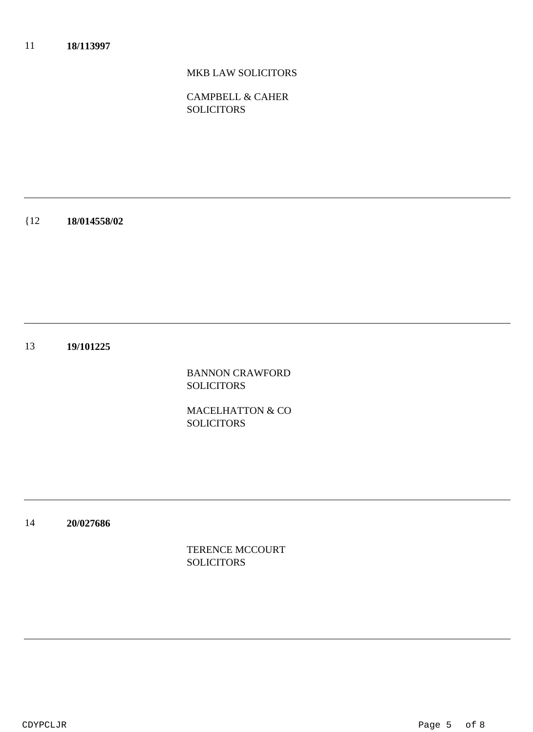# MKB LAW SOLICITORS

CAMPBELL & CAHER **SOLICITORS** 

{12 **18/014558/02**

13 **19/101225**

> BANNON CRAWFORD SOLICITORS

> MACELHATTON & CO **SOLICITORS**

14 **20/027686**

> TERENCE MCCOURT SOLICITORS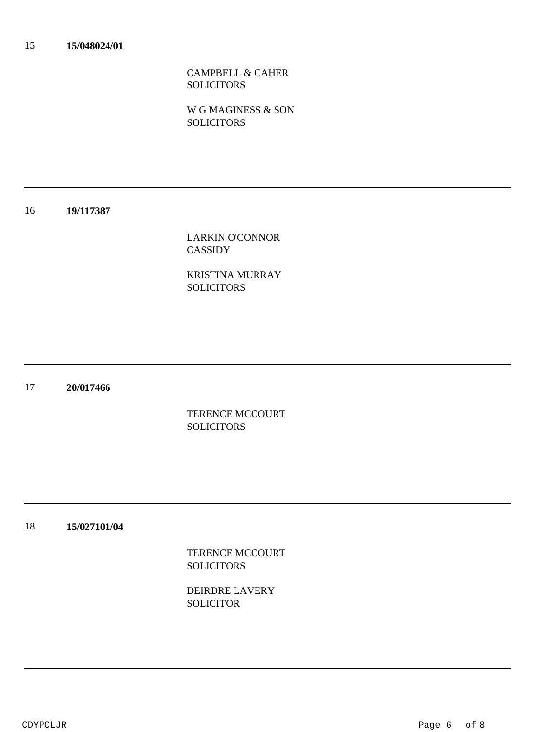CAMPBELL & CAHER **SOLICITORS** 

W G MAGINESS & SON **SOLICITORS** 

#### 16 **19/117387**

LARKIN O'CONNOR CASSIDY

KRISTINA MURRAY SOLICITORS

17 **20/017466**

> TERENCE MCCOURT **SOLICITORS**

#### 18 **15/027101/04**

TERENCE MCCOURT **SOLICITORS** 

DEIRDRE LAVERY SOLICITOR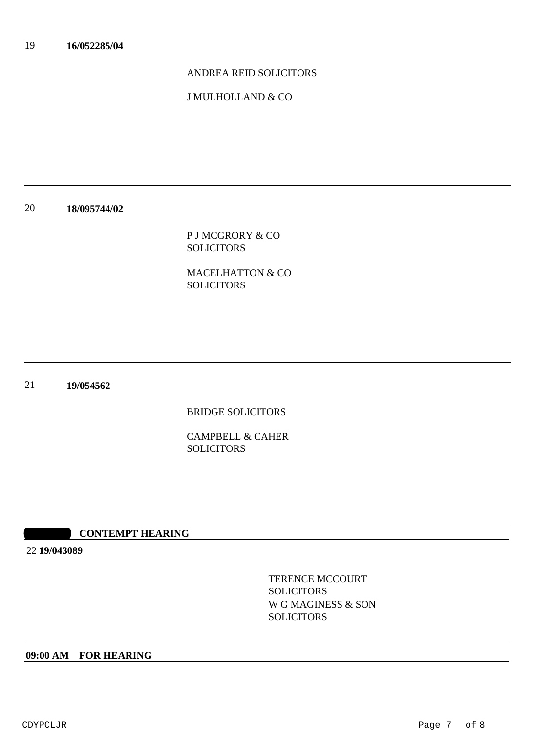## ANDREA REID SOLICITORS

J MULHOLLAND & CO

### 20 **18/095744/02**

P J MCGRORY & CO SOLICITORS

MACELHATTON & CO SOLICITORS

21 **19/054562**

BRIDGE SOLICITORS

CAMPBELL & CAHER **SOLICITORS** 

### **10:30 CONTEMPT HEARING**

22 **19/043089**

TERENCE MCCOURT **SOLICITORS** W G MAGINESS & SON **SOLICITORS** 

### **09:00 AM FOR HEARING**